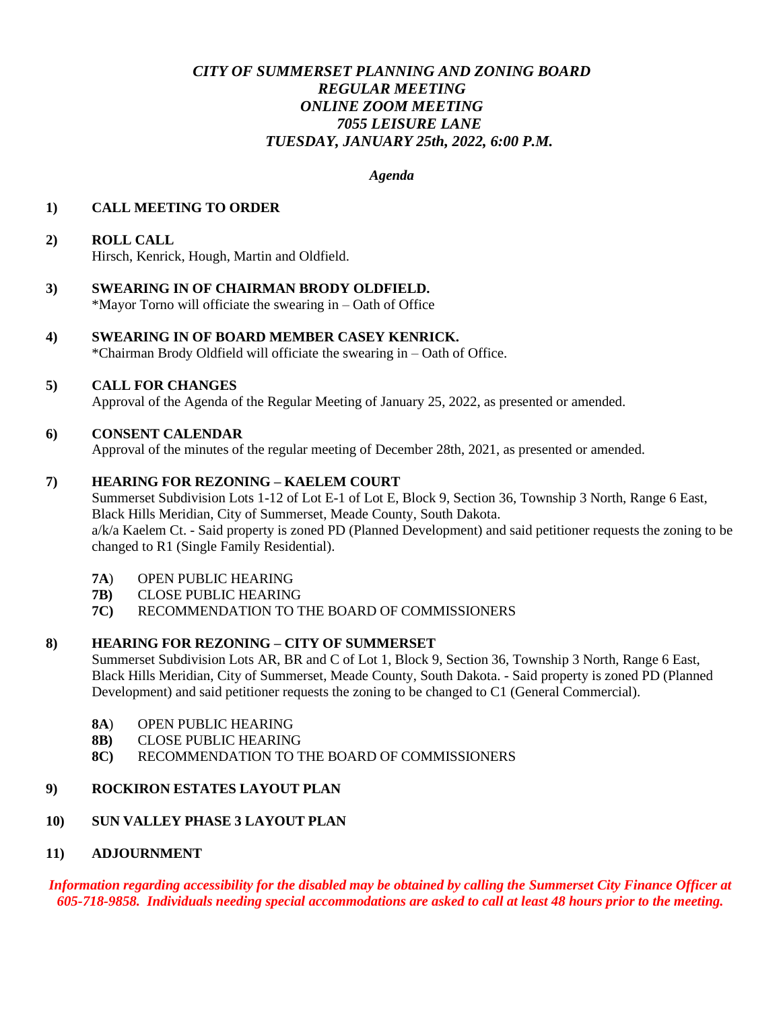# *CITY OF SUMMERSET PLANNING AND ZONING BOARD REGULAR MEETING ONLINE ZOOM MEETING 7055 LEISURE LANE TUESDAY, JANUARY 25th, 2022, 6:00 P.M.*

*Agenda* 

## **1) CALL MEETING TO ORDER**

# **2) ROLL CALL**

Hirsch, Kenrick, Hough, Martin and Oldfield.

**3) SWEARING IN OF CHAIRMAN BRODY OLDFIELD.** \*Mayor Torno will officiate the swearing in – Oath of Office

## **4) SWEARING IN OF BOARD MEMBER CASEY KENRICK.**

\*Chairman Brody Oldfield will officiate the swearing in – Oath of Office.

#### **5) CALL FOR CHANGES**

Approval of the Agenda of the Regular Meeting of January 25, 2022, as presented or amended.

#### **6) CONSENT CALENDAR**

Approval of the minutes of the regular meeting of December 28th, 2021, as presented or amended.

#### **7) HEARING FOR REZONING – KAELEM COURT**

Summerset Subdivision Lots 1-12 of Lot E-1 of Lot E, Block 9, Section 36, Township 3 North, Range 6 East, Black Hills Meridian, City of Summerset, Meade County, South Dakota. a/k/a Kaelem Ct. - Said property is zoned PD (Planned Development) and said petitioner requests the zoning to be changed to R1 (Single Family Residential).

- **7A**) OPEN PUBLIC HEARING
- **7B)** CLOSE PUBLIC HEARING
- **7C)** RECOMMENDATION TO THE BOARD OF COMMISSIONERS

#### **8) HEARING FOR REZONING – CITY OF SUMMERSET**

Summerset Subdivision Lots AR, BR and C of Lot 1, Block 9, Section 36, Township 3 North, Range 6 East, Black Hills Meridian, City of Summerset, Meade County, South Dakota. - Said property is zoned PD (Planned Development) and said petitioner requests the zoning to be changed to C1 (General Commercial).

- **8A**) OPEN PUBLIC HEARING
- **8B)** CLOSE PUBLIC HEARING
- **8C)** RECOMMENDATION TO THE BOARD OF COMMISSIONERS

# **9) ROCKIRON ESTATES LAYOUT PLAN**

# **10) SUN VALLEY PHASE 3 LAYOUT PLAN**

#### **11) ADJOURNMENT**

*Information regarding accessibility for the disabled may be obtained by calling the Summerset City Finance Officer at 605-718-9858. Individuals needing special accommodations are asked to call at least 48 hours prior to the meeting.*